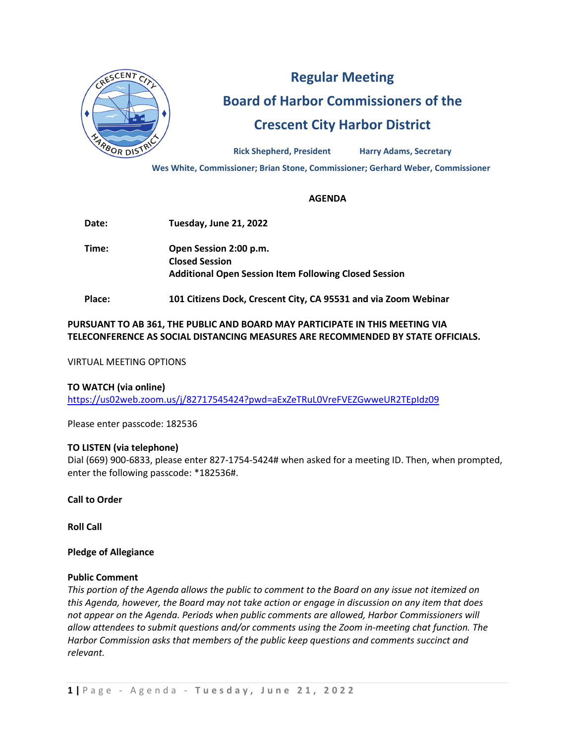

# **Regular Meeting Board of Harbor Commissioners of the Crescent City Harbor District**

**Rick Shepherd, President Harry Adams, Secretary**

**Wes White, Commissioner; Brian Stone, Commissioner; Gerhard Weber, Commissioner**

## **AGENDA**

**Date: Tuesday, June 21, 2022 Time: Open Session 2:00 p.m. Closed Session Additional Open Session Item Following Closed Session**

**Place: 101 Citizens Dock, Crescent City, CA 95531 and via Zoom Webinar**

# **PURSUANT TO AB 361, THE PUBLIC AND BOARD MAY PARTICIPATE IN THIS MEETING VIA TELECONFERENCE AS SOCIAL DISTANCING MEASURES ARE RECOMMENDED BY STATE OFFICIALS.**

VIRTUAL MEETING OPTIONS

## **TO WATCH (via online)**

<https://us02web.zoom.us/j/82717545424?pwd=aExZeTRuL0VreFVEZGwweUR2TEpIdz09>

Please enter passcode: 182536

## **TO LISTEN (via telephone)**

Dial (669) 900-6833, please enter 827-1754-5424# when asked for a meeting ID. Then, when prompted, enter the following passcode: \*182536#.

**Call to Order**

**Roll Call**

## **Pledge of Allegiance**

#### **Public Comment**

*This portion of the Agenda allows the public to comment to the Board on any issue not itemized on this Agenda, however, the Board may not take action or engage in discussion on any item that does not appear on the Agenda. Periods when public comments are allowed, Harbor Commissioners will allow attendees to submit questions and/or comments using the Zoom in-meeting chat function. The Harbor Commission asks that members of the public keep questions and comments succinct and relevant.*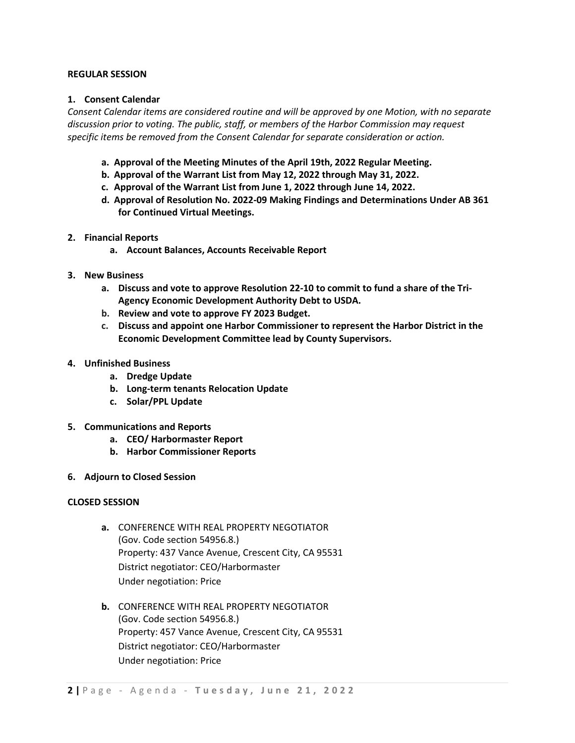#### **REGULAR SESSION**

## **1. Consent Calendar**

*Consent Calendar items are considered routine and will be approved by one Motion, with no separate discussion prior to voting. The public, staff, or members of the Harbor Commission may request specific items be removed from the Consent Calendar for separate consideration or action.* 

- **a. Approval of the Meeting Minutes of the April 19th, 2022 Regular Meeting.**
- **b. Approval of the Warrant List from May 12, 2022 through May 31, 2022.**
- **c. Approval of the Warrant List from June 1, 2022 through June 14, 2022.**
- **d. Approval of Resolution No. 2022-09 Making Findings and Determinations Under AB 361 for Continued Virtual Meetings.**
- **2. Financial Reports**
	- **a. Account Balances, Accounts Receivable Report**
- **3. New Business**
	- **a. Discuss and vote to approve Resolution 22-10 to commit to fund a share of the Tri-Agency Economic Development Authority Debt to USDA.**
	- **b. Review and vote to approve FY 2023 Budget.**
	- **c. Discuss and appoint one Harbor Commissioner to represent the Harbor District in the Economic Development Committee lead by County Supervisors.**
- **4. Unfinished Business**
	- **a. Dredge Update**
	- **b. Long-term tenants Relocation Update**
	- **c. Solar/PPL Update**
- **5. Communications and Reports**
	- **a. CEO/ Harbormaster Report**
	- **b. Harbor Commissioner Reports**
- **6. Adjourn to Closed Session**

## **CLOSED SESSION**

- **a.** CONFERENCE WITH REAL PROPERTY NEGOTIATOR (Gov. Code section 54956.8.) Property: 437 Vance Avenue, Crescent City, CA 95531 District negotiator: CEO/Harbormaster Under negotiation: Price
- **b.** CONFERENCE WITH REAL PROPERTY NEGOTIATOR (Gov. Code section 54956.8.) Property: 457 Vance Avenue, Crescent City, CA 95531 District negotiator: CEO/Harbormaster Under negotiation: Price